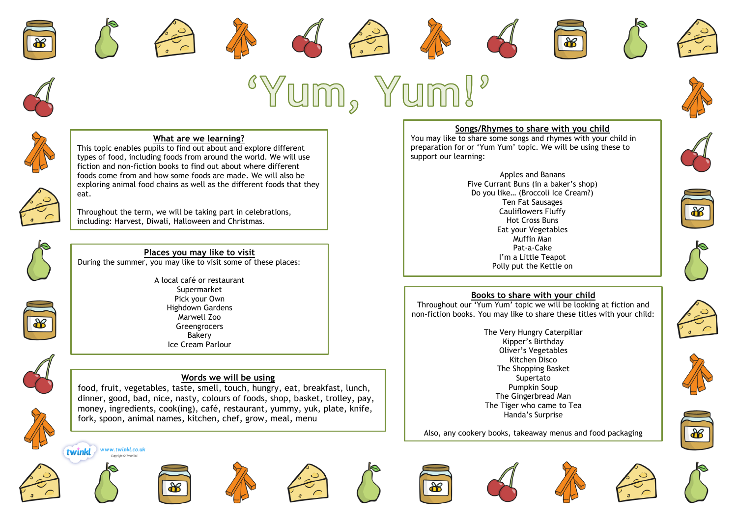













### **What are we learning?**

This topic enables pupils to find out about and explore different types of food, including foods from around the world. We will use fiction and non-fiction books to find out about where different foods come from and how some foods are made. We will also be exploring animal food chains as well as the different foods that they eat.

Throughout the term, we will be taking part in celebrations, including: Harvest, Diwali, Halloween and Christmas.



# **Places you may like to visit**

During the summer, you may like to visit some of these places:

A local café or restaurant Supermarket Pick your Own Highdown Gardens Marwell Zoo Greengrocers Bakery Ice Cream Parlour



#### **Words we will be using**

food, fruit, vegetables, taste, smell, touch, hungry, eat, breakfast, lunch, dinner, good, bad, nice, nasty, colours of foods, shop, basket, trolley, pay, money, ingredients, cook(ing), café, restaurant, yummy, yuk, plate, knife, fork, spoon, animal names, kitchen, chef, grow, meal, menu



# **Songs/Rhymes to share with you child**

You may like to share some songs and rhymes with your child in preparation for or 'Yum Yum' topic. We will be using these to support our learning:









## **Books to share with your child**

Polly put the Kettle on

Throughout our 'Yum Yum' topic we will be looking at fiction and non-fiction books. You may like to share these titles with your child:

> The Very Hungry Caterpillar Kipper's Birthday Oliver's Vegetables Kitchen Disco The Shopping Basket Supertato Pumpkin Soup The Gingerbread Man The Tiger who came to Tea Handa's Surprise

Also, any cookery books, takeaway menus and food packaging







twinkl

www.twinkl.co.uk

.<br>Copyright © Twinkl Itd